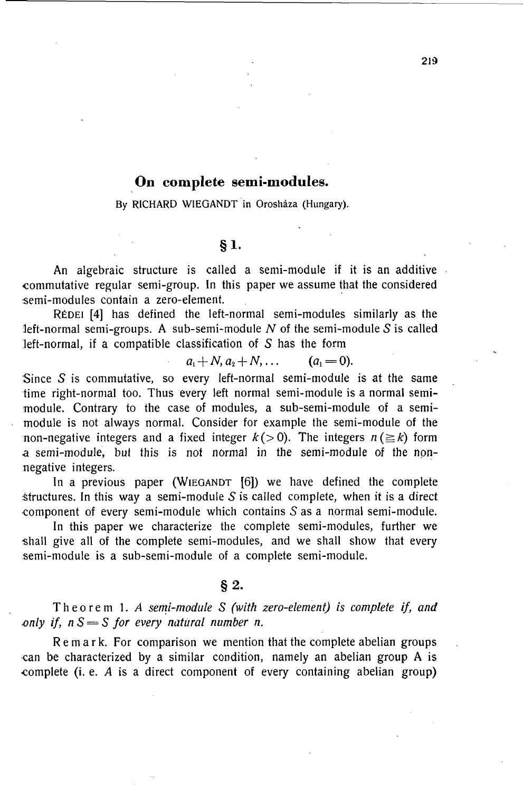# **On complete semi-modules.**

**By RICHARD WIEGANDT in Orosháza (Hungary).** 

#### S §1.

An algebraic structure is called a semi-module if it is an additive commutative regular semi-group. In this paper we assume that the considered semi-modules contain a zero-element.

RÉDEI [4] has defined the left-normal semi-modules similarly as the left-normal semi-groups. A sub-semi-module  $N$  of the semi-module  $S$  is called left-normal, if a compatible classification of  $S$  has the form

 $a_1 + N$ ,  $a_2 + N$ , ...  $(a_1 = 0)$ .

Since  $S$  is commutative, so every left-normal semi-module is at the same time right-normal too. Thus every left normal semi-module is a normal semimodule. Contrary to the case of modules, a sub-semi-module of a semimodule is not always normal. Consider for example the semi-module of the non-negative integers and a fixed integer  $k(>0)$ . The integers  $n(\geq k)$  form a semi-module, but this is not normal in the semi-module of the nonnegative integers.

In a previous paper (WIEGANDT [6]) we have defined the complete structures. In this way a semi-module  $S$  is called complete, when it is a direct component of every semi-module which contains S as a normal semi-module.

In this paper we characterize the complete semi-modules, further we shall give all of the complete semi-modules, and we shall show that every semi-module is a sub-semi-module of a complete semi-module.

## **§ 2 .**

Theore m 1. *A semi-module S (with zero-element) is complete if, and only if, nS=S for every natural number n.* 

Remark. For comparison we mention that the complete abelian groups •can be characterized by a similar condition, namely an abelian group A is complete (i. e. *A* is a direct component of every containing abelian group)

**219-**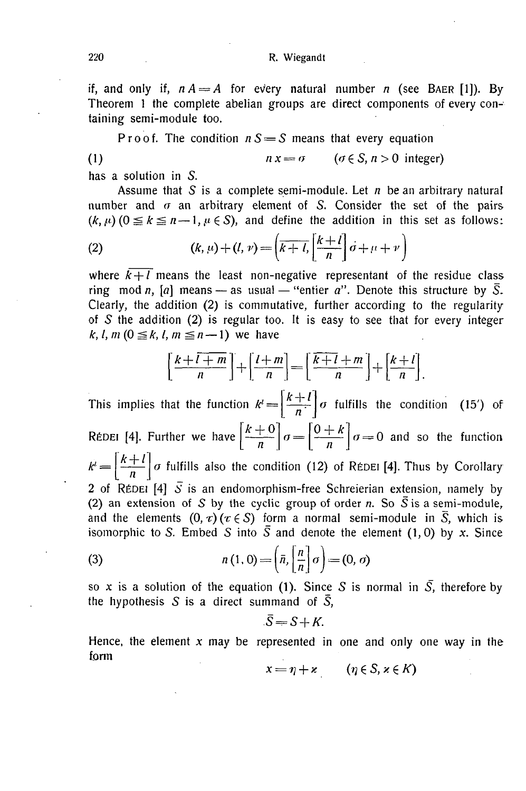#### 220 **R. Wiegandt**

if, and only if,  $n A = A$  for every natural number *n* (see BAER [1]). By Theorem 1 the complete abelian groups are direct components of every containing semi-module too.

Proof. The condition  $nS = S$  means that every equation

(1) 
$$
n x = \sigma \qquad (\sigma \in S, n > 0 \text{ integer})
$$

has a solution in S.

Assume that S is a complete semi-module. Let  $n$  be an arbitrary natural number and  $\sigma$  an arbitrary element of S. Consider the set of the pairs  $(k, \mu)$   $(0 \le k \le n-1, \mu \in S)$ , and define the addition in this set as follows:

(2) 
$$
(k, \mu) + (l, \nu) = \left(\overline{k+l}, \left[\frac{k+l}{n}\right] \dot{\sigma} + \mu + \nu\right)
$$

where  $k+l$  means the least non-negative representant of the residue class ring mod *n*, [*a*] means — as usual — "entier *a*". Denote this structure by  $\overline{S}$ . Clearly, the addition (2) is commutative, further according to the regularity of  $S$  the addition (2) is regular too. It is easy to see that for every integer *k, l, m* ( $0 \le k$ , *l, m*  $\le n-1$ ) we have

$$
\left[\frac{k+l+m}{n}\right] + \left[\frac{l+m}{n}\right] = \left[\frac{k+l+m}{n}\right] + \left[\frac{k+l}{n}\right].
$$

*k + l*  This implies that the function  $k^l = \left\lfloor \frac{n+1}{n} \right\rfloor \sigma$  fulfills the condition (15') of **R**ÉDEI [4]. Further we have  $\left[\frac{n+10}{n}\right]$   $\sigma = \left[\frac{n+1}{n}\right]$   $\sigma = 0$  and so the function  $k' = \left|\frac{k+l}{n}\right| \sigma$  fulfills also the condition (12) of REDEI [4]. Thus by Corollary 2 of REDEI [4]  $\overline{S}$  is an endomorphism-free Schreierian extension, namely by (2) an extension of S by the cyclic group of order *n*. So  $\overline{S}$  is a semi-module, and the elements  $(0, \tau)$  ( $\tau \in S$ ) form a normal semi-module in  $\overline{S}$ , which is isomorphic to S. Embed S into  $\overline{S}$  and denote the element (1,0) by x. Since

(3) 
$$
n(1,0) = \left(\bar{n}, \left[\frac{n}{\bar{n}}\right]\sigma\right) = (0, \sigma)
$$

so x is a solution of the equation (1). Since S is normal in  $\overline{S}$ , therefore by the hypothesis S is a direct summand of  $\overline{S}$ ,

$$
\bar{S} = S + K.
$$

Hence, the element *x* may be represented in one and only one way in the form

$$
x = \eta + \varkappa \qquad (\eta \in S, \, \varkappa \in K)
$$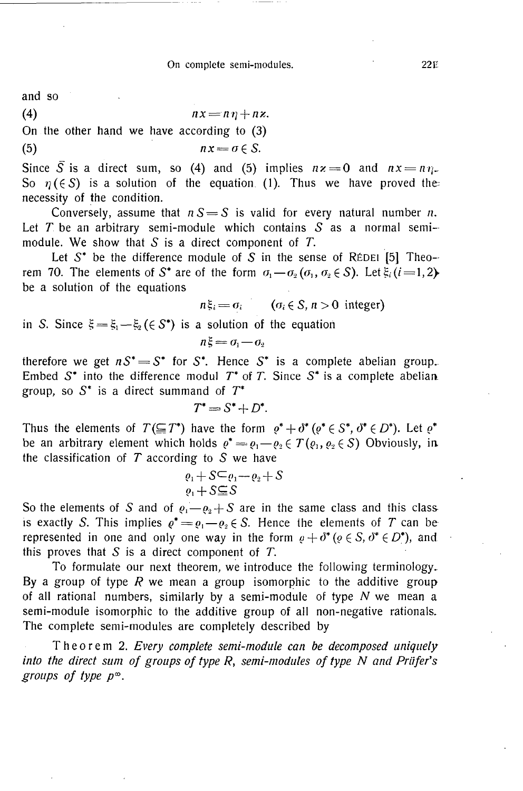and so

$$
(4) \t n x = n \eta + n z.
$$

On the other hand we have according to (3)

$$
(5) \t n x = \sigma \in S.
$$

Since  $\overline{S}$  is a direct sum, so (4) and (5) implies  $nz = 0$  and  $nx = n\eta$ . So  $\eta(\epsilon S)$  is a solution of the equation (1). Thus we have proved the necessity of the condition.

Conversely, assume that  $nS = S$  is valid for every natural number *n*. Let  $T$  be an arbitrary semi-module which contains  $S$  as a normal semimodule. We show that  $S$  is a direct component of  $T$ .

Let  $S^*$  be the difference module of  $S$  in the sense of R£DEI [5] Theorem 70. The elements of S<sup>\*</sup> are of the form  $\sigma_1 - \sigma_2(\sigma_1, \sigma_2 \in S)$ . Let  $\xi_i$  (*i* = 1, 2) be a solution of the equations

$$
n\xi_i = \sigma_i \qquad (\sigma_i \in S, n > 0 \text{ integer})
$$

in S. Since  $\xi = \xi_1 - \xi_2$  ( $\xi \in S^*$ ) is a solution of the equation

$$
n\xi = \sigma_1 - \sigma_2
$$

therefore we get  $nS^* = S^*$  for  $S^*$ . Hence  $S^*$  is a complete abelian group. Embed 5\* into the difference modul *T\** of *T.* Since *S\** is a complete abelian. group, so 5\* is a direct summand of *T\** 

$$
T^* = S^* + D^*.
$$

Thus the elements of  $T(\subseteqq T^*)$  have the form  $\rho^* + \partial^* (\rho^* \in S^*, \partial^* \in D^*)$ . Let  $\rho^*$ be an arbitrary element which holds  $e^* = e_1 - e_2 \in T(e_1, e_2 \in S)$  Obviously, in the classification of  $T$  according to  $S$  we have

$$
\varrho_1 + S \subseteq \varrho_1 - \varrho_2 + S
$$
  

$$
\varrho_1 + S \subseteq S
$$

So the elements of S and of  $\rho_1 - \rho_2 + S$  are in the same class and this class is exactly S. This implies  $\varrho^* = \varrho_1 - \varrho_2 \in S$ . Hence the elements of T can be represented in one and only one way in the form  $\rho + \delta^* (\rho \in S, \delta^* \in D^*)$ , and this proves that  $S$  is a direct component of  $T$ .

To formulate our next theorem, we introduce the following terminology. By a group of type *R* we mean a group isomorphic to the additive group of all rational numbers, similarly by a semi-module of type *N* we mean a semi-module isomorphic to the additive group of all non-negative rationals. The complete semi-modules are completely described by

Theore m 2. *Every complete semi-module can be decomposed uniquely into the direct sum of groups of type R, semi-modules of type N and Priifer's groups of type p m .*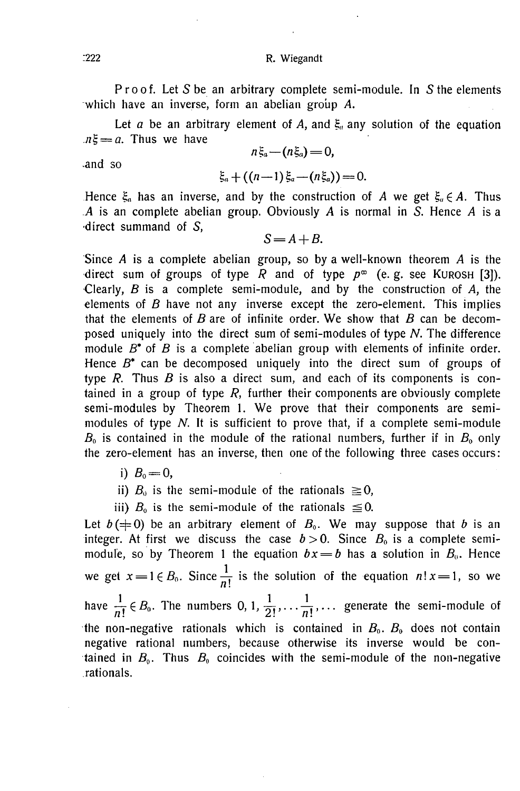Proof. Let S be an arbitrary complete semi-module. In S the elements which have an inverse, form an abelian group A.

Let  $a$  be an arbitrary element of  $A$ , and  $\xi_a$  any solution of the equation  $\overline{n} = a$ . Thus we have

$$
n\xi_a-(n\xi_a)=0,
$$

•and so

$$
\xi_a + ((n-1)\xi_a - (n\xi_a)) = 0.
$$

Hence  $\xi_a$  has an inverse, and by the construction of A we get  $\xi_a \in A$ . Thus *.A* is an complete abelian group. Obviously *A* is normal in 5. Hence *A* is a •direct summand of *S,* 

$$
S = A + B.
$$

Since *A* is a complete abelian group, so by a well-known theorem *A* is the direct sum of groups of type R and of type  $p^{\infty}$  (e.g. see KUROSH [3]). •Clearly, *B* is a complete semi-module, and by the construction of *A,* the elements of *B* have not any inverse except the zero-element. This implies that the elements of *B* are of infinite order. We show that *B* can be decomposed uniquely into the direct sum of semi-modules of type *N.* The difference module *B\** of *B* is a complete abelian group with elements of infinite order. Hence *B\** can be decomposed uniquely into the direct sum of groups of type *R.* Thus *B* is also a direct sum, and each of its components is contained in a group of type *R,* further their components are obviously complete semi-modules by Theorem 1. We prove that their components are semimodules of type *N.* It is sufficient to prove that, if a complete semi-module  $B_0$  is contained in the module of the rational numbers, further if in  $B_0$  only the zero-element has an inverse, then one of the following three cases occurs:

i)  $B_0 = 0$ ,

ii)  $B_0$  is the semi-module of the rationals  $\geq 0$ ,

iii)  $B_0$  is the semi-module of the rationals  $\leq 0$ .

Let  $b$ ( $\neq$ 0) be an arbitrary element of  $B_0$ . We may suppose that *b* is an integer. At first we discuss the case  $b > 0$ . Since  $B_0$  is a complete semimodule, so by Theorem 1 the equation  $bx = b$  has a solution in  $B_0$ . Hence we get  $x = 1 \in B_0$ . Since  $\frac{1}{n!}$  is the solution of the equation  $n! x = 1$ , so we have  $\frac{1}{n!} \in B_0$ . The numbers 0, 1,  $\frac{1}{2!}, \ldots, \frac{1}{n!}, \ldots$  generate the semi-module of the non-negative rationals which is contained in  $B_0$ .  $B_0$  does not contain negative rational numbers, because otherwise its inverse would be contained in *B0.* Thus *B0* coincides with the semi-module of the non-negative rationals.